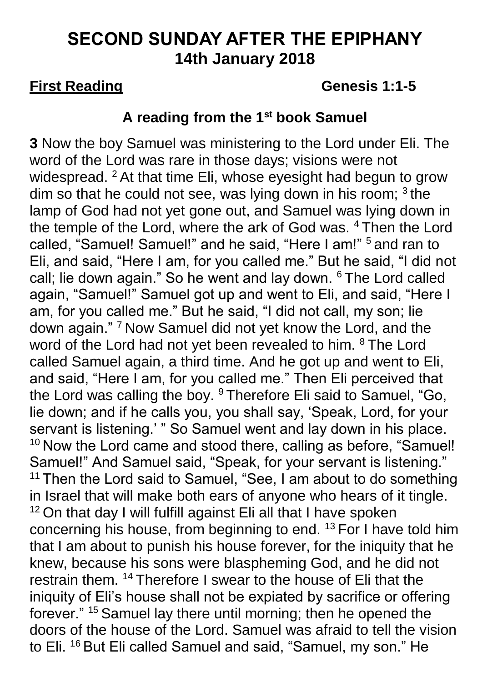# **SECOND SUNDAY AFTER THE EPIPHANY 14th January 2018**

### **First Reading CENERGY READING CENERGY READING CENERGY AT A GENERAL STATE OF STATE AND READING CENERGY AND READING CONTROLL AND A GENERAL STATE OF STATE AND READING CONTROLL ASSOCIATE A GENERAL STATE OF STATE AND READING C**

### **A reading from the 1 st book Samuel**

**3** Now the boy Samuel was ministering to the Lord under Eli. The word of the Lord was rare in those days; visions were not widespread. <sup>2</sup> At that time Eli, whose eyesight had begun to grow dim so that he could not see, was lying down in his room;  $3$  the lamp of God had not yet gone out, and Samuel was lying down in the temple of the Lord, where the ark of God was. <sup>4</sup> Then the Lord called, "Samuel! Samuel!" and he said, "Here I am!" <sup>5</sup> and ran to Eli, and said, "Here I am, for you called me." But he said, "I did not call; lie down again." So he went and lay down. <sup>6</sup> The Lord called again, "Samuel!" Samuel got up and went to Eli, and said, "Here I am, for you called me." But he said, "I did not call, my son; lie down again." <sup>7</sup> Now Samuel did not yet know the Lord, and the word of the Lord had not yet been revealed to him. <sup>8</sup> The Lord called Samuel again, a third time. And he got up and went to Eli, and said, "Here I am, for you called me." Then Eli perceived that the Lord was calling the boy. <sup>9</sup> Therefore Eli said to Samuel, "Go, lie down; and if he calls you, you shall say, 'Speak, Lord, for your servant is listening.' " So Samuel went and lay down in his place. <sup>10</sup> Now the Lord came and stood there, calling as before, "Samuel! Samuel!" And Samuel said, "Speak, for your servant is listening." <sup>11</sup> Then the Lord said to Samuel, "See, I am about to do something in Israel that will make both ears of anyone who hears of it tingle.  $12$  On that day I will fulfill against Eli all that I have spoken concerning his house, from beginning to end. <sup>13</sup> For I have told him that I am about to punish his house forever, for the iniquity that he knew, because his sons were blaspheming God, and he did not restrain them. <sup>14</sup> Therefore I swear to the house of Eli that the iniquity of Eli's house shall not be expiated by sacrifice or offering forever." <sup>15</sup> Samuel lay there until morning; then he opened the doors of the house of the Lord. Samuel was afraid to tell the vision to Eli. <sup>16</sup> But Eli called Samuel and said, "Samuel, my son." He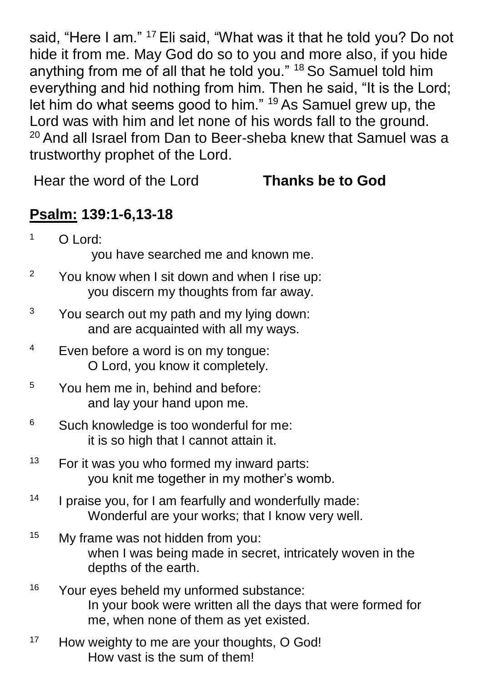said, "Here I am." <sup>17</sup> Eli said, "What was it that he told you? Do not hide it from me. May God do so to you and more also, if you hide anything from me of all that he told you." <sup>18</sup> So Samuel told him everything and hid nothing from him. Then he said, "It is the Lord; let him do what seems good to him." <sup>19</sup> As Samuel grew up, the Lord was with him and let none of his words fall to the ground. <sup>20</sup> And all Israel from Dan to Beer-sheba knew that Samuel was a trustworthy prophet of the Lord.

Hear the word of the Lord **Thanks be to God**

## **Psalm: 139:1-6,13-18**

| $1$ O Lord:                        |
|------------------------------------|
| you have searched me and known me. |

- <sup>2</sup> You know when I sit down and when I rise up: you discern my thoughts from far away.
- $3$  You search out my path and my lying down: and are acquainted with all my ways.
- <sup>4</sup> Even before a word is on my tongue: O Lord, you know it completely.
- <sup>5</sup> You hem me in, behind and before: and lay your hand upon me.
- <sup>6</sup> Such knowledge is too wonderful for me: it is so high that I cannot attain it.
- $13$  For it was you who formed my inward parts: you knit me together in my mother's womb.
- <sup>14</sup> I praise you, for I am fearfully and wonderfully made: Wonderful are your works; that I know very well.
- <sup>15</sup> My frame was not hidden from you: when I was being made in secret, intricately woven in the depths of the earth.
- <sup>16</sup> Your eves beheld my unformed substance: In your book were written all the days that were formed for me, when none of them as yet existed.
- <sup>17</sup> How weighty to me are your thoughts, O God! How vast is the sum of them!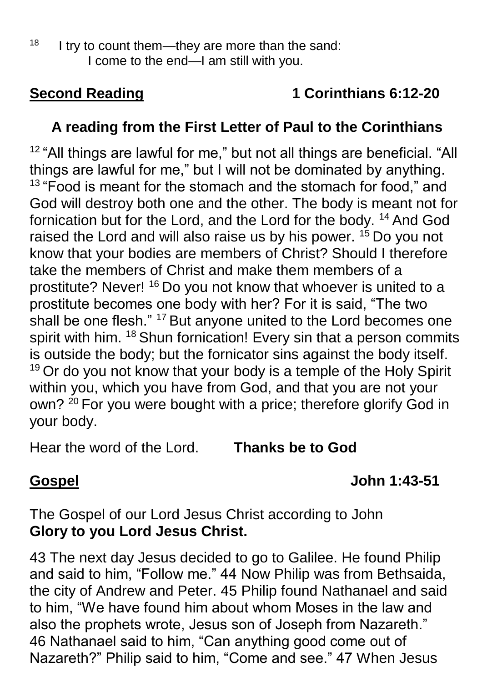# **Second Reading 1 Corinthians 6:12-20**

## **A reading from the First Letter of Paul to the Corinthians**

<sup>12</sup> "All things are lawful for me," but not all things are beneficial. "All things are lawful for me," but I will not be dominated by anything. <sup>13</sup> "Food is meant for the stomach and the stomach for food," and God will destroy both one and the other. The body is meant not for fornication but for the Lord, and the Lord for the body. <sup>14</sup> And God raised the Lord and will also raise us by his power. <sup>15</sup> Do you not know that your bodies are members of Christ? Should I therefore take the members of Christ and make them members of a prostitute? Never! <sup>16</sup> Do you not know that whoever is united to a prostitute becomes one body with her? For it is said, "The two shall be one flesh." <sup>17</sup> But anyone united to the Lord becomes one spirit with him. <sup>18</sup> Shun fornication! Every sin that a person commits is outside the body; but the fornicator sins against the body itself.  $19$  Or do you not know that your body is a temple of the Holy Spirit within you, which you have from God, and that you are not your own? <sup>20</sup> For you were bought with a price; therefore glorify God in your body.

Hear the word of the Lord. **Thanks be to God**

## **Gospel John 1:43-51**

The Gospel of our Lord Jesus Christ according to John **Glory to you Lord Jesus Christ.**

43 The next day Jesus decided to go to Galilee. He found Philip and said to him, "Follow me." 44 Now Philip was from Bethsaida, the city of Andrew and Peter. 45 Philip found Nathanael and said to him, "We have found him about whom Moses in the law and also the prophets wrote, Jesus son of Joseph from Nazareth." 46 Nathanael said to him, "Can anything good come out of Nazareth?" Philip said to him, "Come and see." 47 When Jesus